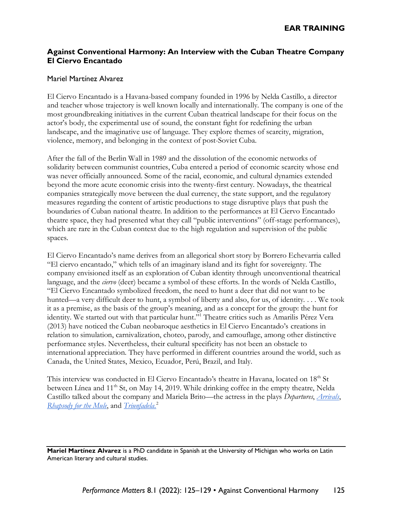## **Against Conventional Harmony: An Interview with the Cuban Theatre Company El Ciervo Encantado**

## Mariel Martínez Alvarez

El Ciervo Encantado is a Havana-based company founded in 1996 by Nelda Castillo, a director and teacher whose trajectory is well known locally and internationally. The company is one of the most groundbreaking initiatives in the current Cuban theatrical landscape for their focus on the actor's body, the experimental use of sound, the constant fight for redefining the urban landscape, and the imaginative use of language. They explore themes of scarcity, migration, violence, memory, and belonging in the context of post-Soviet Cuba.

After the fall of the Berlin Wall in 1989 and the dissolution of the economic networks of solidarity between communist countries, Cuba entered a period of economic scarcity whose end was never officially announced. Some of the racial, economic, and cultural dynamics extended beyond the more acute economic crisis into the twenty-first century. Nowadays, the theatrical companies strategically move between the dual currency, the state support, and the regulatory measures regarding the content of artistic productions to stage disruptive plays that push the boundaries of Cuban national theatre. In addition to the performances at El Ciervo Encantado theatre space, they had presented what they call "public interventions" (off-stage performances), which are rare in the Cuban context due to the high regulation and supervision of the public spaces.

El Ciervo Encantado's name derives from an allegorical short story by Borrero Echevarria called "El ciervo encantado," which tells of an imaginary island and its fight for sovereignty. The company envisioned itself as an exploration of Cuban identity through unconventional theatrical language, and the *ciervo* (deer) became a symbol of these efforts. In the words of Nelda Castillo, "El Ciervo Encantado symbolized freedom, the need to hunt a deer that did not want to be hunted—a very difficult deer to hunt, a symbol of liberty and also, for us, of identity. . . . We took it as a premise, as the basis of the group's meaning, and as a concept for the group: the hunt for identity. We started out with that particular hunt." <sup>1</sup> Theatre critics such as Amarilis Pérez Vera (2013) have noticed the Cuban neobaroque aesthetics in El Ciervo Encantado's creations in relation to simulation, carnivalization, choteo, parody, and camouflage, among other distinctive performance styles. Nevertheless, their cultural specificity has not been an obstacle to international appreciation. They have performed in different countries around the world, such as Canada, the United States, Mexico, Ecuador, Perú, Brazil, and Italy.

This interview was conducted in El Ciervo Encantado's theatre in Havana, located on 18<sup>th</sup> St between Línea and 11<sup>th</sup> St, on May 14, 2019. While drinking coffee in the empty theatre, Nelda Castillo talked about the company and Mariela Brito—the actress in the plays *Departures*, *[Arrivals](https://hemisphericinstitute.org/en/events/el-ciervo-encantado-on-arrivals.html)*[,](https://hemisphericinstitute.org/en/enc14-performances/item/2315-enc14-performances-ciervo-rhapsody.html) *[Rhapsody for the Mule](https://hemisphericinstitute.org/en/enc14-performances/item/2315-enc14-performances-ciervo-rhapsody.html)*, and *[Triunfadela.](https://hemisphericinstitute.org/en/enc14-performances/item/2315-enc14-performances-ciervo-rhapsody.html)* 2

**Mariel Martínez Alvarez** is a PhD candidate in Spanish at the University of Michigan who works on Latin American literary and cultural studies.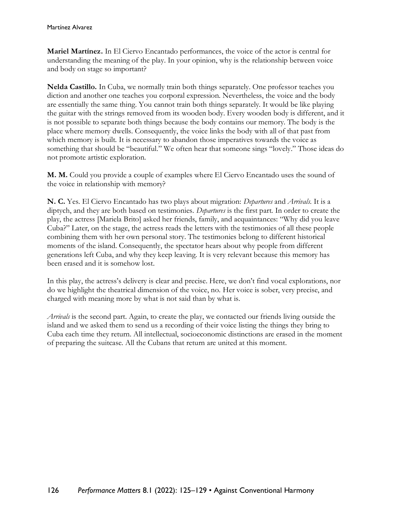**Mariel Martínez.** In El Ciervo Encantado performances, the voice of the actor is central for understanding the meaning of the play. In your opinion, why is the relationship between voice and body on stage so important?

**Nelda Castillo.** In Cuba, we normally train both things separately. One professor teaches you diction and another one teaches you corporal expression. Nevertheless, the voice and the body are essentially the same thing. You cannot train both things separately. It would be like playing the guitar with the strings removed from its wooden body. Every wooden body is different, and it is not possible to separate both things because the body contains our memory. The body is the place where memory dwells. Consequently, the voice links the body with all of that past from which memory is built. It is necessary to abandon those imperatives towards the voice as something that should be "beautiful." We often hear that someone sings "lovely." Those ideas do not promote artistic exploration.

**M. M.** Could you provide a couple of examples where El Ciervo Encantado uses the sound of the voice in relationship with memory?

**N. C.** Yes. El Ciervo Encantado has two plays about migration: *Departures* and *Arrivals*. It is a diptych, and they are both based on testimonies. *Departures* is the first part. In order to create the play, the actress [Mariela Brito] asked her friends, family, and acquaintances: "Why did you leave Cuba?" Later, on the stage, the actress reads the letters with the testimonies of all these people combining them with her own personal story. The testimonies belong to different historical moments of the island. Consequently, the spectator hears about why people from different generations left Cuba, and why they keep leaving. It is very relevant because this memory has been erased and it is somehow lost.

In this play, the actress's delivery is clear and precise. Here, we don't find vocal explorations, nor do we highlight the theatrical dimension of the voice, no. Her voice is sober, very precise, and charged with meaning more by what is not said than by what is.

*Arrivals* is the second part. Again, to create the play, we contacted our friends living outside the island and we asked them to send us a recording of their voice listing the things they bring to Cuba each time they return. All intellectual, socioeconomic distinctions are erased in the moment of preparing the suitcase. All the Cubans that return are united at this moment.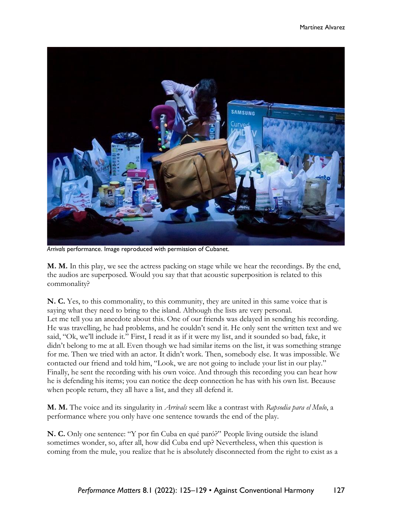

*Arrivals* performance. Image reproduced with permission of Cubanet.

**M. M.** In this play, we see the actress packing on stage while we hear the recordings. By the end, the audios are superposed. Would you say that that acoustic superposition is related to this commonality?

**N. C.** Yes, to this commonality, to this community, they are united in this same voice that is saying what they need to bring to the island. Although the lists are very personal. Let me tell you an anecdote about this. One of our friends was delayed in sending his recording. He was travelling, he had problems, and he couldn't send it. He only sent the written text and we said, "Ok, we'll include it." First, I read it as if it were my list, and it sounded so bad, fake, it didn't belong to me at all. Even though we had similar items on the list, it was something strange for me. Then we tried with an actor. It didn't work. Then, somebody else. It was impossible. We contacted our friend and told him, "Look, we are not going to include your list in our play." Finally, he sent the recording with his own voice. And through this recording you can hear how he is defending his items; you can notice the deep connection he has with his own list. Because when people return, they all have a list, and they all defend it.

**M. M.** The voice and its singularity in *Arrivals* seem like a contrast with *Rapsodia para el Mulo*, a performance where you only have one sentence towards the end of the play.

**N. C.** Only one sentence: "Y por fin Cuba en qué paró?" People living outside the island sometimes wonder, so, after all, how did Cuba end up? Nevertheless, when this question is coming from the mule, you realize that he is absolutely disconnected from the right to exist as a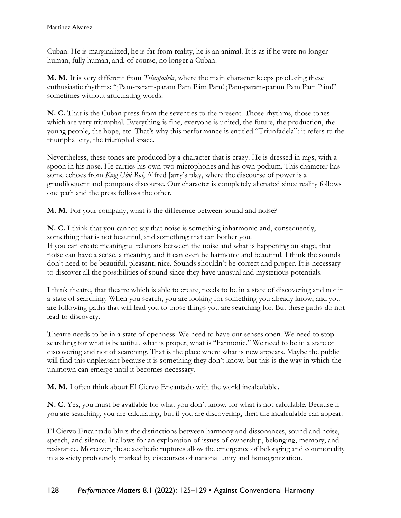Cuban. He is marginalized, he is far from reality, he is an animal. It is as if he were no longer human, fully human, and, of course, no longer a Cuban.

**M. M.** It is very different from *Triunfadela*, where the main character keeps producing these enthusiastic rhythms: "¡Pam-param-param Pam Pám Pam! ¡Pam-param-param Pam Pam Pám!" sometimes without articulating words.

**N. C.** That is the Cuban press from the seventies to the present. Those rhythms, those tones which are very triumphal. Everything is fine, everyone is united, the future, the production, the young people, the hope, etc. That's why this performance is entitled "Triunfadela": it refers to the triumphal city, the triumphal space.

Nevertheless, these tones are produced by a character that is crazy. He is dressed in rags, with a spoon in his nose. He carries his own two microphones and his own podium. This character has some echoes from *King Ubú Roi*, Alfred Jarry's play, where the discourse of power is a grandiloquent and pompous discourse. Our character is completely alienated since reality follows one path and the press follows the other.

**M. M.** For your company, what is the difference between sound and noise?

**N. C.** I think that you cannot say that noise is something inharmonic and, consequently, something that is not beautiful, and something that can bother you. If you can create meaningful relations between the noise and what is happening on stage, that noise can have a sense, a meaning, and it can even be harmonic and beautiful. I think the sounds don't need to be beautiful, pleasant, nice. Sounds shouldn't be correct and proper. It is necessary to discover all the possibilities of sound since they have unusual and mysterious potentials.

I think theatre, that theatre which is able to create, needs to be in a state of discovering and not in a state of searching. When you search, you are looking for something you already know, and you are following paths that will lead you to those things you are searching for. But these paths do not lead to discovery.

Theatre needs to be in a state of openness. We need to have our senses open. We need to stop searching for what is beautiful, what is proper, what is "harmonic." We need to be in a state of discovering and not of searching. That is the place where what is new appears. Maybe the public will find this unpleasant because it is something they don't know, but this is the way in which the unknown can emerge until it becomes necessary.

**M. M.** I often think about El Ciervo Encantado with the world incalculable.

**N. C.** Yes, you must be available for what you don't know, for what is not calculable. Because if you are searching, you are calculating, but if you are discovering, then the incalculable can appear.

El Ciervo Encantado blurs the distinctions between harmony and dissonances, sound and noise, speech, and silence. It allows for an exploration of issues of ownership, belonging, memory, and resistance. Moreover, these aesthetic ruptures allow the emergence of belonging and commonality in a society profoundly marked by discourses of national unity and homogenization.